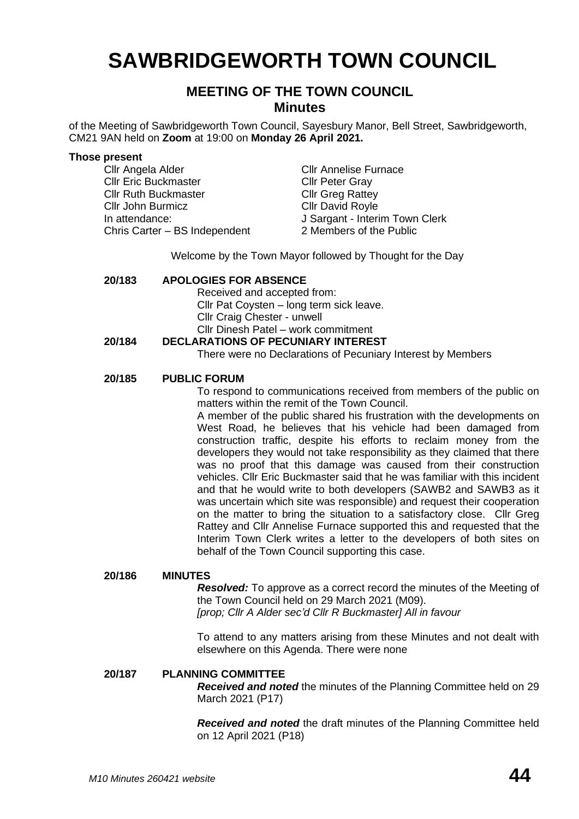# **SAWBRIDGEWORTH TOWN COUNCIL**

# **MEETING OF THE TOWN COUNCIL Minutes**

of the Meeting of Sawbridgeworth Town Council, Sayesbury Manor, Bell Street, Sawbridgeworth, CM21 9AN held on **Zoom** at 19:00 on **Monday 26 April 2021.**

#### **Those present**

Cllr Angela Alder Cllr Annelise Furnace **Cllr Eric Buckmaster Cllr Peter Gray** Cllr Ruth Buckmaster Cllr Greg Rattey Cllr John Burmicz Cllr David Royle In attendance: J Sargant - Interim Town Clerk Chris Carter – BS Independent 2 Members of the Public

Welcome by the Town Mayor followed by Thought for the Day

# **20/183 APOLOGIES FOR ABSENCE**

Received and accepted from:

Cllr Pat Coysten – long term sick leave.

Cllr Craig Chester - unwell

Cllr Dinesh Patel – work commitment

# **20/184 DECLARATIONS OF PECUNIARY INTEREST**

There were no Declarations of Pecuniary Interest by Members

# **20/185 PUBLIC FORUM**

To respond to communications received from members of the public on matters within the remit of the Town Council.

A member of the public shared his frustration with the developments on West Road, he believes that his vehicle had been damaged from construction traffic, despite his efforts to reclaim money from the developers they would not take responsibility as they claimed that there was no proof that this damage was caused from their construction vehicles. Cllr Eric Buckmaster said that he was familiar with this incident and that he would write to both developers (SAWB2 and SAWB3 as it was uncertain which site was responsible) and request their cooperation on the matter to bring the situation to a satisfactory close. Cllr Greg Rattey and Cllr Annelise Furnace supported this and requested that the Interim Town Clerk writes a letter to the developers of both sites on behalf of the Town Council supporting this case.

#### **20/186 MINUTES**

*Resolved:* To approve as a correct record the minutes of the Meeting of the Town Council held on 29 March 2021 (M09).

*[prop; Cllr A Alder sec'd Cllr R Buckmaster] All in favour*

To attend to any matters arising from these Minutes and not dealt with elsewhere on this Agenda. There were none

# **20/187 PLANNING COMMITTEE**

*Received and noted* the minutes of the Planning Committee held on 29 March 2021 (P17)

*Received and noted* the draft minutes of the Planning Committee held on 12 April 2021 (P18)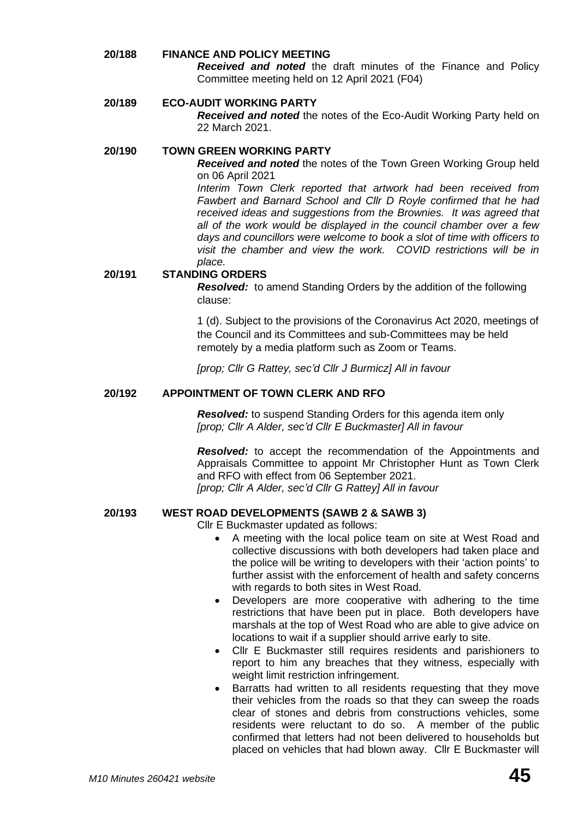# **20/188 FINANCE AND POLICY MEETING**  *Received and noted* the draft minutes of the Finance and Policy Committee meeting held on 12 April 2021 (F04)

# **20/189 ECO-AUDIT WORKING PARTY**

*Received and noted* the notes of the Eco-Audit Working Party held on 22 March 2021.

# **20/190 TOWN GREEN WORKING PARTY**

*Received and noted* the notes of the Town Green Working Group held on 06 April 2021

*Interim Town Clerk reported that artwork had been received from Fawbert and Barnard School and Cllr D Royle confirmed that he had received ideas and suggestions from the Brownies. It was agreed that all of the work would be displayed in the council chamber over a few days and councillors were welcome to book a slot of time with officers to visit the chamber and view the work. COVID restrictions will be in place.*

# **20/191 STANDING ORDERS**

*Resolved:* to amend Standing Orders by the addition of the following clause:

1 (d). Subject to the provisions of the Coronavirus Act 2020, meetings of the Council and its Committees and sub-Committees may be held remotely by a media platform such as Zoom or Teams.

*[prop; Cllr G Rattey, sec'd Cllr J Burmicz] All in favour*

#### **20/192 APPOINTMENT OF TOWN CLERK AND RFO**

*Resolved:* to suspend Standing Orders for this agenda item only *[prop; Cllr A Alder, sec'd Cllr E Buckmaster] All in favour*

*Resolved:* to accept the recommendation of the Appointments and Appraisals Committee to appoint Mr Christopher Hunt as Town Clerk and RFO with effect from 06 September 2021.

*[prop; Cllr A Alder, sec'd Cllr G Rattey] All in favour*

# **20/193 WEST ROAD DEVELOPMENTS (SAWB 2 & SAWB 3)**

Cllr E Buckmaster updated as follows:

- A meeting with the local police team on site at West Road and collective discussions with both developers had taken place and the police will be writing to developers with their 'action points' to further assist with the enforcement of health and safety concerns with regards to both sites in West Road.
- Developers are more cooperative with adhering to the time restrictions that have been put in place. Both developers have marshals at the top of West Road who are able to give advice on locations to wait if a supplier should arrive early to site.
- Cllr E Buckmaster still requires residents and parishioners to report to him any breaches that they witness, especially with weight limit restriction infringement.
- Barratts had written to all residents requesting that they move their vehicles from the roads so that they can sweep the roads clear of stones and debris from constructions vehicles, some residents were reluctant to do so. A member of the public confirmed that letters had not been delivered to households but placed on vehicles that had blown away. Cllr E Buckmaster will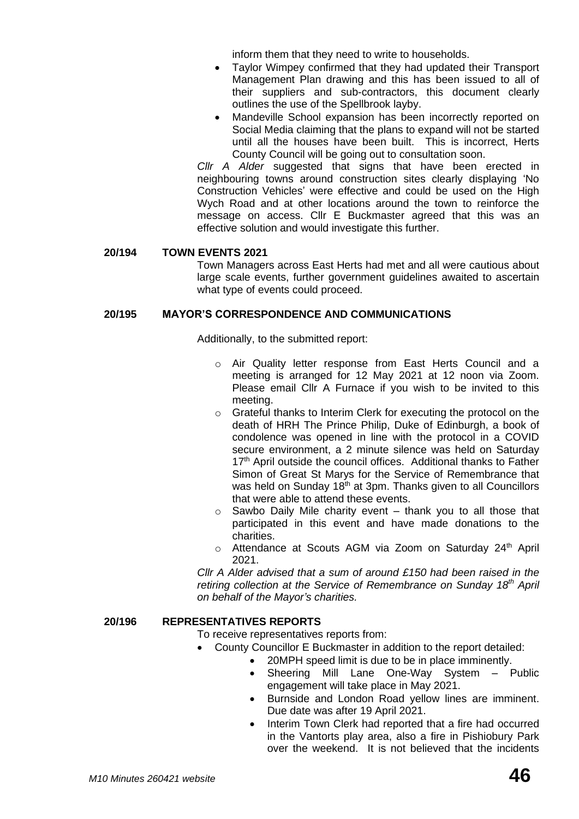inform them that they need to write to households.

- Taylor Wimpey confirmed that they had updated their Transport Management Plan drawing and this has been issued to all of their suppliers and sub-contractors, this document clearly outlines the use of the Spellbrook layby.
- Mandeville School expansion has been incorrectly reported on Social Media claiming that the plans to expand will not be started until all the houses have been built. This is incorrect, Herts County Council will be going out to consultation soon.

*Cllr A Alder* suggested that signs that have been erected in neighbouring towns around construction sites clearly displaying 'No Construction Vehicles' were effective and could be used on the High Wych Road and at other locations around the town to reinforce the message on access. Cllr E Buckmaster agreed that this was an effective solution and would investigate this further.

### **20/194 TOWN EVENTS 2021**

Town Managers across East Herts had met and all were cautious about large scale events, further government guidelines awaited to ascertain what type of events could proceed.

### **20/195 MAYOR'S CORRESPONDENCE AND COMMUNICATIONS**

Additionally, to the submitted report:

- o Air Quality letter response from East Herts Council and a meeting is arranged for 12 May 2021 at 12 noon via Zoom. Please email Cllr A Furnace if you wish to be invited to this meeting.
- o Grateful thanks to Interim Clerk for executing the protocol on the death of HRH The Prince Philip, Duke of Edinburgh, a book of condolence was opened in line with the protocol in a COVID secure environment, a 2 minute silence was held on Saturday 17<sup>th</sup> April outside the council offices. Additional thanks to Father Simon of Great St Marys for the Service of Remembrance that was held on Sunday 18<sup>th</sup> at 3pm. Thanks given to all Councillors that were able to attend these events.
- $\circ$  Sawbo Daily Mile charity event thank you to all those that participated in this event and have made donations to the charities.
- $\circ$  Attendance at Scouts AGM via Zoom on Saturday 24<sup>th</sup> April 2021.

*Cllr A Alder advised that a sum of around £150 had been raised in the retiring collection at the Service of Remembrance on Sunday 18th April on behalf of the Mayor's charities.* 

# **20/196 REPRESENTATIVES REPORTS**

To receive representatives reports from:

- County Councillor E Buckmaster in addition to the report detailed:
	- 20MPH speed limit is due to be in place imminently.
		- Sheering Mill Lane One-Way System Public engagement will take place in May 2021.
		- Burnside and London Road yellow lines are imminent. Due date was after 19 April 2021.
		- Interim Town Clerk had reported that a fire had occurred in the Vantorts play area, also a fire in Pishiobury Park over the weekend. It is not believed that the incidents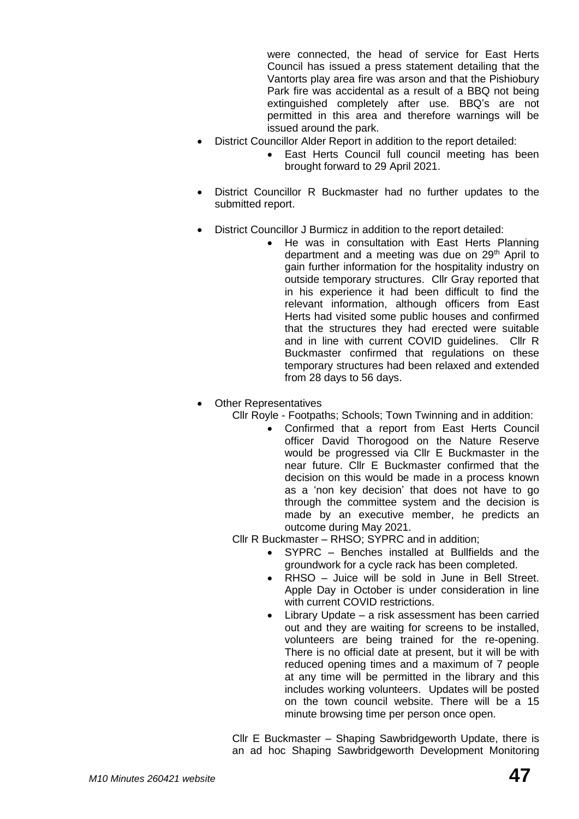were connected, the head of service for East Herts Council has issued a press statement detailing that the Vantorts play area fire was arson and that the Pishiobury Park fire was accidental as a result of a BBQ not being extinguished completely after use. BBQ's are not permitted in this area and therefore warnings will be issued around the park.

- District Councillor Alder Report in addition to the report detailed:
	- East Herts Council full council meeting has been brought forward to 29 April 2021.
- District Councillor R Buckmaster had no further updates to the submitted report.
- District Councillor J Burmicz in addition to the report detailed:
	- He was in consultation with East Herts Planning department and a meeting was due on 29<sup>th</sup> April to gain further information for the hospitality industry on outside temporary structures. Cllr Gray reported that in his experience it had been difficult to find the relevant information, although officers from East Herts had visited some public houses and confirmed that the structures they had erected were suitable and in line with current COVID guidelines. Cllr R Buckmaster confirmed that regulations on these temporary structures had been relaxed and extended from 28 days to 56 days.
- Other Representatives

Cllr Royle - Footpaths; Schools; Town Twinning and in addition:

• Confirmed that a report from East Herts Council officer David Thorogood on the Nature Reserve would be progressed via Cllr E Buckmaster in the near future. Cllr E Buckmaster confirmed that the decision on this would be made in a process known as a 'non key decision' that does not have to go through the committee system and the decision is made by an executive member, he predicts an outcome during May 2021.

Cllr R Buckmaster *–* RHSO; SYPRC and in addition;

- SYPRC Benches installed at Bullfields and the groundwork for a cycle rack has been completed.
- RHSO Juice will be sold in June in Bell Street. Apple Day in October is under consideration in line with current COVID restrictions.
- Library Update a risk assessment has been carried out and they are waiting for screens to be installed, volunteers are being trained for the re-opening. There is no official date at present, but it will be with reduced opening times and a maximum of 7 people at any time will be permitted in the library and this includes working volunteers. Updates will be posted on the town council website. There will be a 15 minute browsing time per person once open.

Cllr E Buckmaster – Shaping Sawbridgeworth Update, there is an ad hoc Shaping Sawbridgeworth Development Monitoring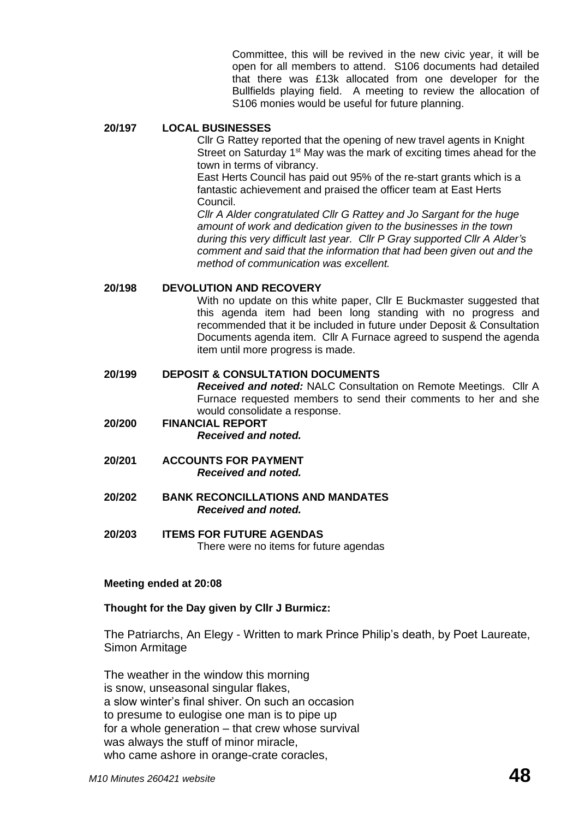Committee, this will be revived in the new civic year, it will be open for all members to attend. S106 documents had detailed that there was £13k allocated from one developer for the Bullfields playing field. A meeting to review the allocation of S106 monies would be useful for future planning.

#### **20/197 LOCAL BUSINESSES**

Cllr G Rattey reported that the opening of new travel agents in Knight Street on Saturday 1<sup>st</sup> May was the mark of exciting times ahead for the town in terms of vibrancy.

East Herts Council has paid out 95% of the re-start grants which is a fantastic achievement and praised the officer team at East Herts Council.

*Cllr A Alder congratulated Cllr G Rattey and Jo Sargant for the huge amount of work and dedication given to the businesses in the town during this very difficult last year. Cllr P Gray supported Cllr A Alder's comment and said that the information that had been given out and the method of communication was excellent.* 

#### **20/198 DEVOLUTION AND RECOVERY**

With no update on this white paper, Cllr E Buckmaster suggested that this agenda item had been long standing with no progress and recommended that it be included in future under Deposit & Consultation Documents agenda item. Cllr A Furnace agreed to suspend the agenda item until more progress is made.

#### **20/199 DEPOSIT & CONSULTATION DOCUMENTS**

*Received and noted:* NALC Consultation on Remote Meetings. Cllr A Furnace requested members to send their comments to her and she would consolidate a response.

- **20/200 FINANCIAL REPORT** *Received and noted.*
- **20/201 ACCOUNTS FOR PAYMENT** *Received and noted.*
- **20/202 BANK RECONCILLATIONS AND MANDATES** *Received and noted.*
- **20/203 ITEMS FOR FUTURE AGENDAS** There were no items for future agendas

#### **Meeting ended at 20:08**

#### **Thought for the Day given by Cllr J Burmicz:**

The Patriarchs, An Elegy - Written to mark Prince Philip's death, by Poet Laureate, Simon Armitage

The weather in the window this morning is snow, unseasonal singular flakes, a slow winter's final shiver. On such an occasion to presume to eulogise one man is to pipe up for a whole generation – that crew whose survival was always the stuff of minor miracle, who came ashore in orange-crate coracles,